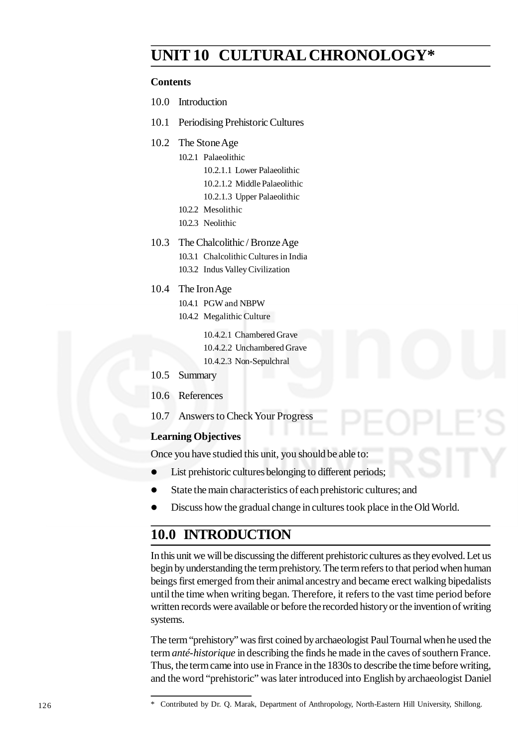# **UNIT 10 CULTURAL CHRONOLOGY\***

#### **Contents**

- 10.0 Introduction
- 10.1 Periodising Prehistoric Cultures
- 10.2 The Stone Age
	- 10.2.1 Palaeolithic 10.2.1.1 Lower Palaeolithic
		- 10.2.1.2 Middle Palaeolithic
		- 10.2.1.3 Upper Palaeolithic
	- 10.2.2 Mesolithic
	- 10.2.3 Neolithic
- 10.3 The Chalcolithic / Bronze Age
	- 10.3.1 Chalcolithic Cultures in India
	- 10.3.2 Indus Valley Civilization
- 10.4 The Iron Age
	- 10.4.1 PGW and NBPW
	- 10.4.2 Megalithic Culture

10.4.2.1 Chambered Grave

- 10.4.2.2 Unchambered Grave
- 10.4.2.3 Non-Sepulchral
- 10.5 Summary
- 10.6 References
- 10.7 Answers to Check Your Progress

#### **Learning Objectives**

Once you have studied this unit, you should be able to:

- List prehistoric cultures belonging to different periods;
- State the main characteristics of each prehistoric cultures; and
- Discuss how the gradual change in cultures took place in the Old World.

# **10.0 INTRODUCTION**

In this unit we will be discussing the different prehistoric cultures as they evolved. Let us begin by understanding the term prehistory. The term refers to that period when human beings first emerged from their animal ancestry and became erect walking bipedalists until the time when writing began. Therefore, it refers to the vast time period before written records were available or before the recorded history or the invention of writing systems.

The term "prehistory" was first coined by archaeologist Paul Tournal when he used the term *anté-historique* in describing the finds he made in the caves of southern France. Thus, the term came into use in France in the 1830s to describe the time before writing, and the word "prehistoric" was later introduced into English by archaeologist Daniel

<sup>\*</sup> Contributed by Dr. Q. Marak, Department of Anthropology, North-Eastern Hill University, Shillong.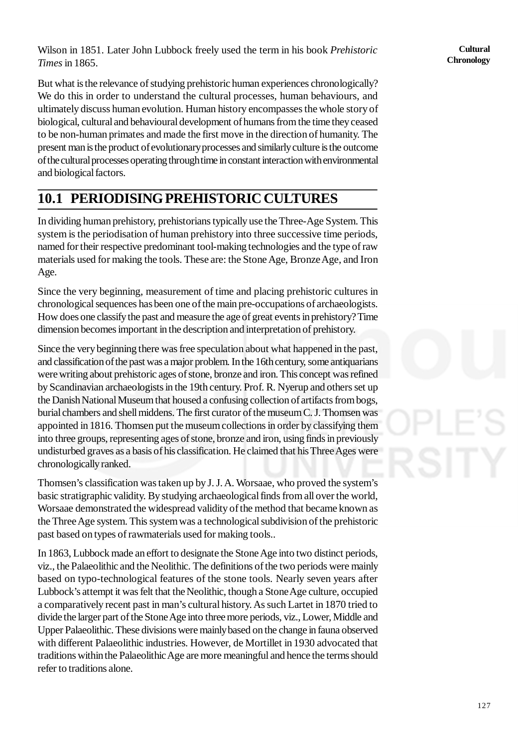Wilson in 1851. Later John Lubbock freely used the term in his book *Prehistoric Times* in 1865.

But what is the relevance of studying prehistoric human experiences chronologically? We do this in order to understand the cultural processes, human behaviours, and ultimately discuss human evolution. Human history encompasses the whole story of biological, cultural and behavioural development of humans from the time they ceased to be non-human primates and made the first move in the direction of humanity. The present man is the product of evolutionary processes and similarly culture is the outcome of the cultural processes operating through time in constant interaction with environmental and biological factors.

# **10.1 PERIODISING PREHISTORIC CULTURES**

In dividing human prehistory, prehistorians typically use the Three-Age System. This system is the periodisation of human prehistory into three successive time periods, named for their respective predominant tool-making technologies and the type of raw materials used for making the tools. These are: the Stone Age, Bronze Age, and Iron Age.

Since the very beginning, measurement of time and placing prehistoric cultures in chronological sequences has been one of the main pre-occupations of archaeologists. How does one classify the past and measure the age of great events in prehistory? Time dimension becomes important in the description and interpretation of prehistory.

Since the very beginning there was free speculation about what happened in the past, and classification of the past was a major problem. In the 16th century, some antiquarians were writing about prehistoric ages of stone, bronze and iron. This concept was refined by Scandinavian archaeologists in the 19th century. Prof. R. Nyerup and others set up the Danish National Museum that housed a confusing collection of artifacts from bogs, burial chambers and shell middens. The first curator of the museum C. J. Thomsen was appointed in 1816. Thomsen put the museum collections in order by classifying them into three groups, representing ages of stone, bronze and iron, using finds in previously undisturbed graves as a basis of his classification. He claimed that his Three Ages were chronologically ranked.

Thomsen's classification was taken up by J. J. A. Worsaae, who proved the system's basic stratigraphic validity. By studying archaeological finds from all over the world, Worsaae demonstrated the widespread validity of the method that became known as the Three Age system. This system was a technological subdivision of the prehistoric past based on types of rawmaterials used for making tools..

In 1863, Lubbock made an effort to designate the Stone Age into two distinct periods, viz., the Palaeolithic and the Neolithic. The definitions of the two periods were mainly based on typo-technological features of the stone tools. Nearly seven years after Lubbock's attempt it was felt that the Neolithic, though a Stone Age culture, occupied a comparatively recent past in man's cultural history. As such Lartet in 1870 tried to divide the larger part of the Stone Age into three more periods, viz., Lower, Middle and Upper Palaeolithic. These divisions were mainly based on the change in fauna observed with different Palaeolithic industries. However, de Mortillet in 1930 advocated that traditions within the Palaeolithic Age are more meaningful and hence the terms should refer to traditions alone.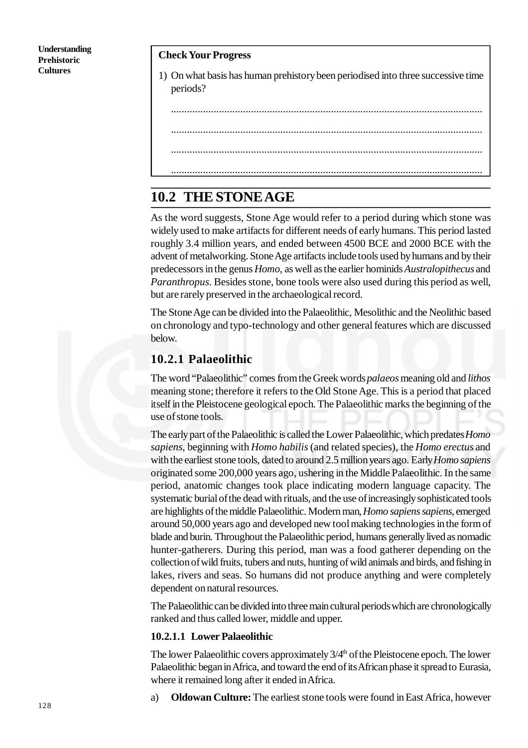#### **Check Your Progress**

1) On what basis has human prehistory been periodised into three successive time periods?

.....................................................................................................................

- .....................................................................................................................
- .....................................................................................................................
- .....................................................................................................................

## **10.2 THE STONE AGE**

As the word suggests, Stone Age would refer to a period during which stone was widely used to make artifacts for different needs of early humans. This period lasted roughly 3.4 million years, and ended between 4500 BCE and 2000 BCE with the advent of metalworking. Stone Age artifacts include tools used by humans and by their predecessors in the genus *Homo*, as well as the earlier hominids *Australopithecus* and *Paranthropus*. Besides stone, bone tools were also used during this period as well, but are rarely preserved in the archaeological record.

The Stone Age can be divided into the Palaeolithic, Mesolithic and the Neolithic based on chronology and typo-technology and other general features which are discussed below.

#### **10.2.1 Palaeolithic**

The word "Palaeolithic" comes from the Greek words *palaeos* meaning old and *lithos* meaning stone; therefore it refers to the Old Stone Age. This is a period that placed itself in the Pleistocene geological epoch. The Palaeolithic marks the beginning of the use of stone tools.

The early part of the Palaeolithic is called the Lower Palaeolithic, which predates *Homo sapiens*, beginning with *Homo habilis* (and related species), the *Homo erectus* and with the earliest stone tools, dated to around 2.5 million years ago. Early *Homo sapiens* originated some 200,000 years ago, ushering in the Middle Palaeolithic. In the same period, anatomic changes took place indicating modern language capacity. The systematic burial of the dead with rituals, and the use of increasingly sophisticated tools are highlights of the middle Palaeolithic. Modern man, *Homo sapiens sapiens,* emerged around 50,000 years ago and developed new tool making technologies in the form of blade and burin. Throughout the Palaeolithic period, humans generally lived as nomadic hunter-gatherers. During this period, man was a food gatherer depending on the collection of wild fruits, tubers and nuts, hunting of wild animals and birds, and fishing in lakes, rivers and seas. So humans did not produce anything and were completely dependent on natural resources.

The Palaeolithic can be divided into three main cultural periods which are chronologically ranked and thus called lower, middle and upper.

#### **10.2.1.1 Lower Palaeolithic**

The lower Palaeolithic covers approximately  $3/4<sup>th</sup>$  of the Pleistocene epoch. The lower Palaeolithic began in Africa, and toward the end of its African phase it spread to Eurasia, where it remained long after it ended in Africa.

a) **Oldowan Culture:** The earliest stone tools were found in East Africa, however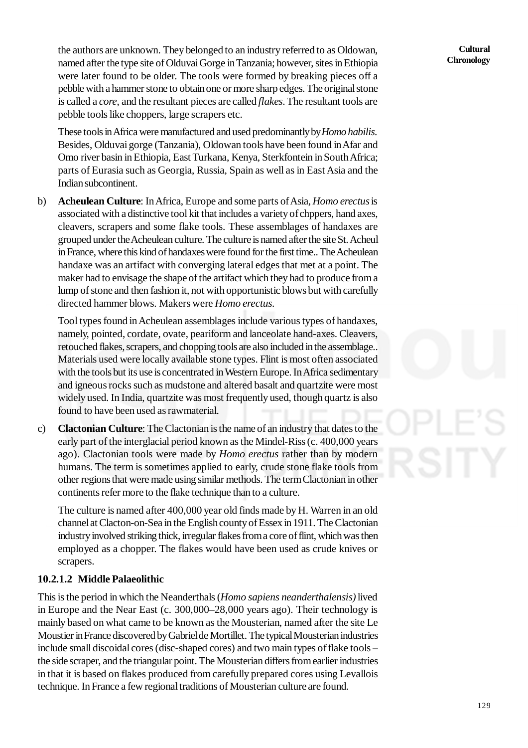the authors are unknown. They belonged to an industry referred to as Oldowan, named after the type site of Olduvai Gorge in Tanzania; however, sites in Ethiopia were later found to be older. The tools were formed by breaking pieces off a pebble with a hammer stone to obtain one or more sharp edges. The original stone is called a *core*, and the resultant pieces are called *flakes*. The resultant tools are pebble tools like choppers, large scrapers etc.

These tools in Africa were manufactured and used predominantly by *Homo habilis*. Besides, Olduvai gorge (Tanzania), Oldowan tools have been found in Afar and Omo river basin in Ethiopia, East Turkana, Kenya, Sterkfontein in South Africa; parts of Eurasia such as Georgia, Russia, Spain as well as in East Asia and the Indian subcontinent.

b) **Acheulean Culture**: In Africa, Europe and some parts of Asia, *Homo erectus* is associated with a distinctive tool kit that includes a variety of chppers, hand axes, cleavers, scrapers and some flake tools. These assemblages of handaxes are grouped under the Acheulean culture. The culture is named after the site St. Acheul in France, where this kind of handaxes were found for the first time.. The Acheulean handaxe was an artifact with converging lateral edges that met at a point. The maker had to envisage the shape of the artifact which they had to produce from a lump of stone and then fashion it, not with opportunistic blows but with carefully directed hammer blows. Makers were *Homo erectus.*

Tool types found in Acheulean assemblages include various types of handaxes, namely, pointed, cordate, ovate, peariform and lanceolate hand-axes. Cleavers, retouched flakes, scrapers, and chopping tools are also included in the assemblage.. Materials used were locally available stone types. Flint is most often associated with the tools but its use is concentrated in Western Europe. In Africa sedimentary and igneous rocks such as mudstone and altered basalt and quartzite were most widely used. In India, quartzite was most frequently used, though quartz is also found to have been used as rawmaterial.

c) **Clactonian Culture**: The Clactonian is the name of an industry that dates to the early part of the interglacial period known as the Mindel-Riss (c. 400,000 years ago). Clactonian tools were made by *Homo erectus* rather than by modern humans. The term is sometimes applied to early, crude stone flake tools from other regions that were made using similar methods. The term Clactonian in other continents refer more to the flake technique than to a culture.

The culture is named after 400,000 year old finds made by H. Warren in an old channel at Clacton-on-Sea in the English county of Essex in 1911. The Clactonian industry involved striking thick, irregular flakes from a core of flint, which was then employed as a chopper. The flakes would have been used as crude knives or scrapers.

#### **10.2.1.2 Middle Palaeolithic**

This is the period in which the Neanderthals (*Homo sapiens neanderthalensis)* lived in Europe and the Near East (c. 300,000–28,000 years ago). Their technology is mainly based on what came to be known as the Mousterian, named after the site Le Moustier in France discovered by Gabriel de Mortillet. The typical Mousterian industries include small discoidal cores (disc-shaped cores) and two main types of flake tools – the side scraper, and the triangular point. The Mousterian differs from earlier industries in that it is based on flakes produced from carefully prepared cores using Levallois technique. In France a few regional traditions of Mousterian culture are found.

**Cultural Chronology**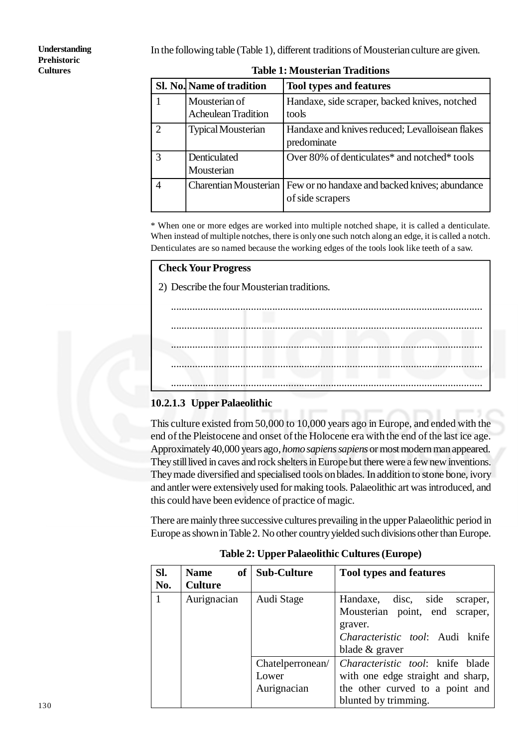In the following table (Table 1), different traditions of Mousterian culture are given.

**Understanding Prehistoric Cultures**

|                             | Sl. No. Name of tradition                   | <b>Tool types and features</b>                                     |  |  |
|-----------------------------|---------------------------------------------|--------------------------------------------------------------------|--|--|
|                             | Mousterian of<br><b>Acheulean Tradition</b> | Handaxe, side scraper, backed knives, notched<br>tools             |  |  |
| $\mathcal{D}_{\mathcal{L}}$ | <b>Typical Mousterian</b>                   | Handaxe and knives reduced; Levalloisean flakes<br>predominate     |  |  |
| 3                           | Denticulated<br>Mousterian                  | Over 80% of denticulates* and notched* tools                       |  |  |
| 4                           | <b>Charentian Mousterian</b>                | Few or no handaxe and backed knives; abundance<br>of side scrapers |  |  |

**Table 1: Mousterian Traditions**

\* When one or more edges are worked into multiple notched shape, it is called a denticulate. When instead of multiple notches, there is only one such notch along an edge, it is called a notch. Denticulates are so named because the working edges of the tools look like teeth of a saw.

#### **Check Your Progress**

2) Describe the four Mousterian traditions.



### **10.2.1.3 Upper Palaeolithic**

This culture existed from 50,000 to 10,000 years ago in Europe, and ended with the end of the Pleistocene and onset of the Holocene era with the end of the last ice age. Approximately 40,000 years ago, *homo sapiens sapiens* or most modern man appeared. They still lived in caves and rock shelters in Europe but there were a few new inventions. They made diversified and specialised tools on blades. In addition to stone bone, ivory and antler were extensively used for making tools. Palaeolithic art was introduced, and this could have been evidence of practice of magic.

There are mainly three successive cultures prevailing in the upper Palaeolithic period in Europe as shown in Table 2. No other country yielded such divisions other than Europe.

| SI.<br>No.   | <b>of</b><br><b>Name</b><br><b>Culture</b> | <b>Sub-Culture</b>                       | <b>Tool types and features</b>                                                                                                               |
|--------------|--------------------------------------------|------------------------------------------|----------------------------------------------------------------------------------------------------------------------------------------------|
| $\mathbf{1}$ | Aurignacian                                | Audi Stage                               | disc,<br>side<br>Handaxe,<br>scraper,<br>Mousterian point, end<br>scraper,<br>graver.<br>Characteristic tool: Audi knife<br>blade $&$ graver |
|              |                                            | Chatelperronean/<br>Lower<br>Aurignacian | Characteristic tool: knife blade<br>with one edge straight and sharp,<br>the other curved to a point and<br>blunted by trimming.             |

**Table 2: Upper Palaeolithic Cultures (Europe)**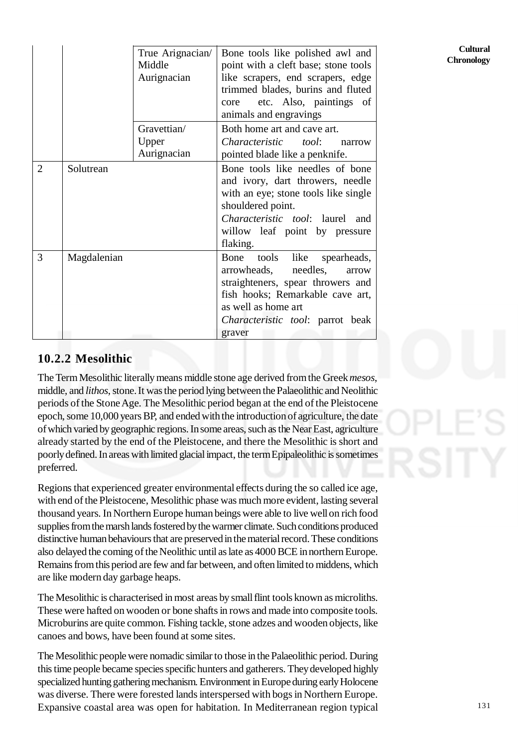|                |             | True Arignacian/<br>Middle<br>Aurignacian | Bone tools like polished awl and<br>point with a cleft base; stone tools<br>like scrapers, end scrapers, edge<br>trimmed blades, burins and fluted<br>etc. Also, paintings of<br>core<br>animals and engravings               |
|----------------|-------------|-------------------------------------------|-------------------------------------------------------------------------------------------------------------------------------------------------------------------------------------------------------------------------------|
|                |             | Gravettian/<br>Upper<br>Aurignacian       | Both home art and cave art.<br>Characteristic tool:<br>narrow<br>pointed blade like a penknife.                                                                                                                               |
| $\overline{2}$ | Solutrean   |                                           | Bone tools like needles of bone<br>and ivory, dart throwers, needle<br>with an eye; stone tools like single<br>shouldered point.<br>Characteristic tool: laurel and<br>willow leaf point by pressure<br>flaking.              |
| 3              | Magdalenian |                                           | tools<br>like<br>spearheads,<br>Bone<br>arrowheads,<br>needles,<br>arrow<br>straighteners, spear throwers and<br>fish hooks; Remarkable cave art,<br>as well as home art<br><i>Characteristic tool:</i> parrot beak<br>graver |

### **10.2.2 Mesolithic**

The Term Mesolithic literally means middle stone age derived from the Greek *mesos*, middle, and *lithos*, stone. It was the period lying between the Palaeolithic and Neolithic periods of the Stone Age. The Mesolithic period began at the end of the Pleistocene epoch, some 10,000 years BP, and ended with the introduction of agriculture, the date of which varied by geographic regions. In some areas, such as the Near East, agriculture already started by the end of the Pleistocene, and there the Mesolithic is short and poorly defined. In areas with limited glacial impact, the term Epipaleolithic is sometimes preferred.

Regions that experienced greater environmental effects during the so called ice age, with end of the Pleistocene, Mesolithic phase was much more evident, lasting several thousand years. In Northern Europe human beings were able to live well on rich food supplies from the marsh lands fostered by the warmer climate. Such conditions produced distinctive human behaviours that are preserved in the material record. These conditions also delayed the coming of the Neolithic until as late as 4000 BCE in northern Europe. Remains from this period are few and far between, and often limited to middens, which are like modern day garbage heaps.

The Mesolithic is characterised in most areas by small flint tools known as microliths. These were hafted on wooden or bone shafts in rows and made into composite tools. Microburins are quite common. Fishing tackle, stone adzes and wooden objects, like canoes and bows, have been found at some sites.

The Mesolithic people were nomadic similar to those in the Palaeolithic period. During this time people became species specific hunters and gatherers. They developed highly specialized hunting gathering mechanism. Environment in Europe during early Holocene was diverse. There were forested lands interspersed with bogs in Northern Europe. Expansive coastal area was open for habitation. In Mediterranean region typical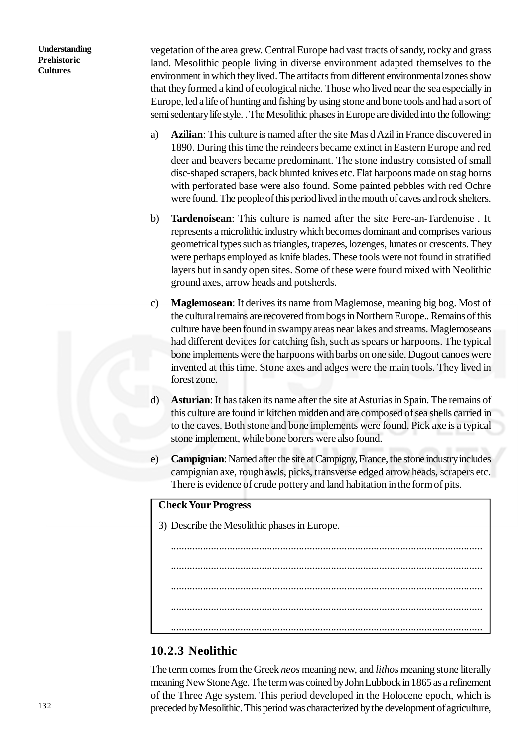vegetation of the area grew. Central Europe had vast tracts of sandy, rocky and grass land. Mesolithic people living in diverse environment adapted themselves to the environment in which they lived. The artifacts from different environmental zones show that they formed a kind of ecological niche. Those who lived near the sea especially in Europe, led a life of hunting and fishing by using stone and bone tools and had a sort of semi sedentary life style. . The Mesolithic phases in Europe are divided into the following:

- a) **Azilian**: This culture is named after the site Mas d Azil in France discovered in 1890. During this time the reindeers became extinct in Eastern Europe and red deer and beavers became predominant. The stone industry consisted of small disc-shaped scrapers, back blunted knives etc. Flat harpoons made on stag horns with perforated base were also found. Some painted pebbles with red Ochre were found. The people of this period lived in the mouth of caves and rock shelters.
- b) **Tardenoisean**: This culture is named after the site Fere-an-Tardenoise . It represents a microlithic industry which becomes dominant and comprises various geometrical types such as triangles, trapezes, lozenges, lunates or crescents. They were perhaps employed as knife blades. These tools were not found in stratified layers but in sandy open sites. Some of these were found mixed with Neolithic ground axes, arrow heads and potsherds.
- c) **Maglemosean**: It derives its name from Maglemose, meaning big bog. Most of the cultural remains are recovered from bogs in Northern Europe.. Remains of this culture have been found in swampy areas near lakes and streams. Maglemoseans had different devices for catching fish, such as spears or harpoons. The typical bone implements were the harpoons with barbs on one side. Dugout canoes were invented at this time. Stone axes and adges were the main tools. They lived in forest zone.
- d) **Asturian**: It has taken its name after the site at Asturias in Spain. The remains of this culture are found in kitchen midden and are composed of sea shells carried in to the caves. Both stone and bone implements were found. Pick axe is a typical stone implement, while bone borers were also found.
- e) **Campignian**: Named after the site at Campigny, France, the stone industry includes campignian axe, rough awls, picks, transverse edged arrow heads, scrapers etc. There is evidence of crude pottery and land habitation in the form of pits.

#### **Check Your Progress**

3) Describe the Mesolithic phases in Europe.

# ..................................................................................................................... ..................................................................................................................... ..................................................................................................................... .....................................................................................................................

.....................................................................................................................

### **10.2.3 Neolithic**

The term comes from the Greek *neos* meaning new, and *lithos* meaning stone literally meaning New Stone Age. The term was coined by John Lubbock in 1865 as a refinement of the Three Age system. This period developed in the Holocene epoch, which is preceded by Mesolithic. This period was characterized by the development of agriculture,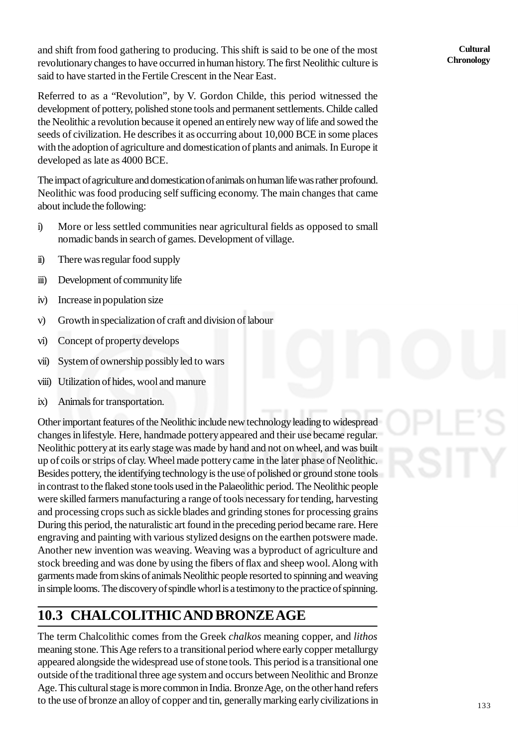and shift from food gathering to producing. This shift is said to be one of the most revolutionary changes to have occurred in human history. The first Neolithic culture is said to have started in the Fertile Crescent in the Near East.

Referred to as a "Revolution", by V. Gordon Childe, this period witnessed the development of pottery, polished stone tools and permanent settlements. Childe called the Neolithic a revolution because it opened an entirely new way of life and sowed the seeds of civilization. He describes it as occurring about 10,000 BCE in some places with the adoption of agriculture and domestication of plants and animals. In Europe it developed as late as 4000 BCE.

The impact of agriculture and domestication of animals on human life was rather profound. Neolithic was food producing self sufficing economy. The main changes that came about include the following:

- i) More or less settled communities near agricultural fields as opposed to small nomadic bands in search of games. Development of village.
- ii) There was regular food supply
- iii) Development of community life
- iv) Increase in population size
- v) Growth in specialization of craft and division of labour
- vi) Concept of property develops
- vii) System of ownership possibly led to wars
- viii) Utilization of hides, wool and manure
- ix) Animals for transportation.

Other important features of the Neolithic include new technology leading to widespread changes in lifestyle. Here, handmade pottery appeared and their use became regular. Neolithic pottery at its early stage was made by hand and not on wheel, and was built up of coils or strips of clay. Wheel made pottery came in the later phase of Neolithic. Besides pottery, the identifying technology is the use of polished or ground stone tools in contrast to the flaked stone tools used in the Palaeolithic period. The Neolithic people were skilled farmers manufacturing a range of tools necessary for tending, harvesting and processing crops such as sickle blades and grinding stones for processing grains During this period, the naturalistic art found in the preceding period became rare. Here engraving and painting with various stylized designs on the earthen potswere made. Another new invention was weaving. Weaving was a byproduct of agriculture and stock breeding and was done by using the fibers of flax and sheep wool. Along with garments made from skins of animals Neolithic people resorted to spinning and weaving in simple looms. The discovery of spindle whorl is a testimony to the practice of spinning.

# **10.3 CHALCOLITHIC AND BRONZE AGE**

The term Chalcolithic comes from the Greek *chalkos* meaning copper, and *lithos* meaning stone. This Age refers to a transitional period where early copper metallurgy appeared alongside the widespread use of stone tools. This period is a transitional one outside of the traditional three age system and occurs between Neolithic and Bronze Age. This cultural stage is more common in India. Bronze Age, on the other hand refers to the use of bronze an alloy of copper and tin, generally marking early civilizations in

**Cultural Chronology**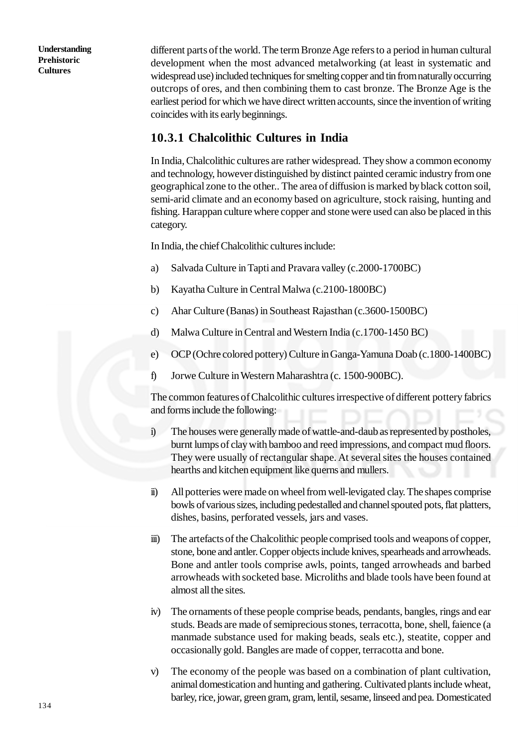different parts of the world. The term Bronze Age refers to a period in human cultural development when the most advanced metalworking (at least in systematic and widespread use) included techniques for smelting copper and tin from naturally occurring outcrops of ores, and then combining them to cast bronze. The Bronze Age is the earliest period for which we have direct written accounts, since the invention of writing coincides with its early beginnings.

#### **10.3.1 Chalcolithic Cultures in India**

In India, Chalcolithic cultures are rather widespread. They show a common economy and technology, however distinguished by distinct painted ceramic industry from one geographical zone to the other.. The area of diffusion is marked by black cotton soil, semi-arid climate and an economy based on agriculture, stock raising, hunting and fishing. Harappan culture where copper and stone were used can also be placed in this category.

In India, the chief Chalcolithic cultures include:

- a) Salvada Culture in Tapti and Pravara valley (c.2000-1700BC)
- b) Kayatha Culture in Central Malwa (c.2100-1800BC)
- c) Ahar Culture (Banas) in Southeast Rajasthan (c.3600-1500BC)
- d) Malwa Culture in Central and Western India (c.1700-1450 BC)
- e) OCP (Ochre colored pottery) Culture in Ganga-Yamuna Doab (c.1800-1400BC)
- f) Jorwe Culture in Western Maharashtra (c. 1500-900BC).

The common features of Chalcolithic cultures irrespective of different pottery fabrics and forms include the following:

- i) The houses were generally made of wattle-and-daub as represented by postholes, burnt lumps of clay with bamboo and reed impressions, and compact mud floors. They were usually of rectangular shape. At several sites the houses contained hearths and kitchen equipment like querns and mullers.
- ii) All potteries were made on wheel from well-levigated clay. The shapes comprise bowls of various sizes, including pedestalled and channel spouted pots, flat platters, dishes, basins, perforated vessels, jars and vases.
- iii) The artefacts of the Chalcolithic people comprised tools and weapons of copper, stone, bone and antler. Copper objects include knives, spearheads and arrowheads. Bone and antler tools comprise awls, points, tanged arrowheads and barbed arrowheads with socketed base. Microliths and blade tools have been found at almost all the sites.
- iv) The ornaments of these people comprise beads, pendants, bangles, rings and ear studs. Beads are made of semiprecious stones, terracotta, bone, shell, faience (a manmade substance used for making beads, seals etc.), steatite, copper and occasionally gold. Bangles are made of copper, terracotta and bone.
- v) The economy of the people was based on a combination of plant cultivation, animal domestication and hunting and gathering. Cultivated plants include wheat, barley, rice, jowar, green gram, gram, lentil, sesame, linseed and pea. Domesticated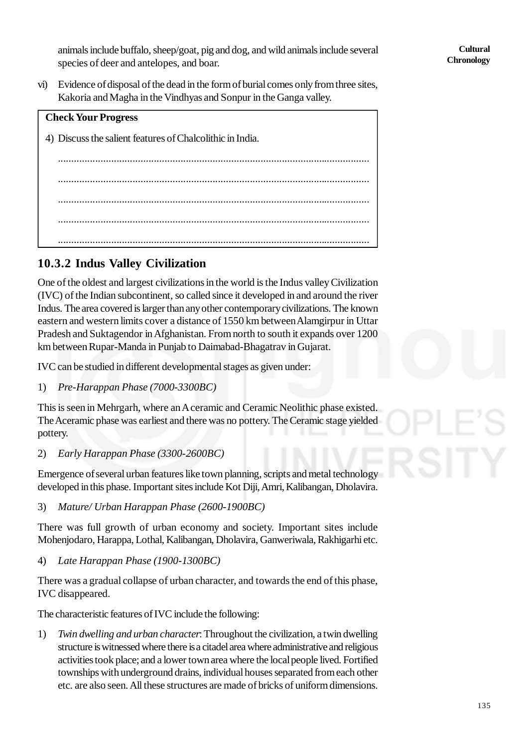animals include buffalo, sheep/goat, pig and dog, and wild animals include several species of deer and antelopes, and boar.

vi) Evidence of disposal of the dead in the form of burial comes only from three sites, Kakoria and Magha in the Vindhyas and Sonpur in the Ganga valley.



# **10.3.2 Indus Valley Civilization**

One of the oldest and largest civilizations in the world is the Indus valley Civilization (IVC) of the Indian subcontinent, so called since it developed in and around the river Indus. The area covered is larger than any other contemporary civilizations. The known eastern and western limits cover a distance of 1550 km between Alamgirpur in Uttar Pradesh and Suktagendor in Afghanistan. From north to south it expands over 1200 km between Rupar-Manda in Punjab to Daimabad-Bhagatrav in Gujarat.

IVC can be studied in different developmental stages as given under:

1) *Pre-Harappan Phase (7000-3300BC)*

This is seen in Mehrgarh, where an A ceramic and Ceramic Neolithic phase existed. The Aceramic phase was earliest and there was no pottery. The Ceramic stage yielded pottery.

2) *Early Harappan Phase (3300-2600BC)*

Emergence of several urban features like town planning, scripts and metal technology developed in this phase. Important sites include Kot Diji, Amri, Kalibangan, Dholavira.

3) *Mature/ Urban Harappan Phase (2600-1900BC)*

There was full growth of urban economy and society. Important sites include Mohenjodaro, Harappa, Lothal, Kalibangan, Dholavira, Ganweriwala, Rakhigarhi etc.

4) *Late Harappan Phase (1900-1300BC)*

There was a gradual collapse of urban character, and towards the end of this phase, IVC disappeared.

The characteristic features of IVC include the following:

1) *Twin dwelling and urban character*: Throughout the civilization, a twin dwelling structure is witnessed where there is a citadel area where administrative and religious activities took place; and a lower town area where the local people lived. Fortified townships with underground drains, individual houses separated from each other etc. are also seen. All these structures are made of bricks of uniform dimensions.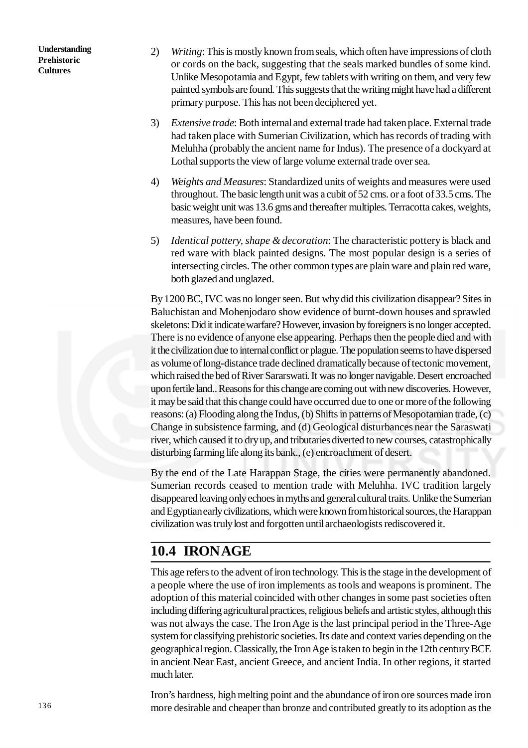- 2) *Writing*: This is mostly known from seals, which often have impressions of cloth or cords on the back, suggesting that the seals marked bundles of some kind. Unlike Mesopotamia and Egypt, few tablets with writing on them, and very few painted symbols are found. This suggests that the writing might have had a different primary purpose. This has not been deciphered yet.
- 3) *Extensive trade*: Both internal and external trade had taken place. External trade had taken place with Sumerian Civilization, which has records of trading with Meluhha (probably the ancient name for Indus). The presence of a dockyard at Lothal supports the view of large volume external trade over sea.
- 4) *Weights and Measures*: Standardized units of weights and measures were used throughout. The basic length unit was a cubit of 52 cms. or a foot of 33.5 cms. The basic weight unit was 13.6 gms and thereafter multiples. Terracotta cakes, weights, measures, have been found.
- 5) *Identical pottery, shape & decoration*: The characteristic pottery is black and red ware with black painted designs. The most popular design is a series of intersecting circles. The other common types are plain ware and plain red ware, both glazed and unglazed.

By 1200 BC, IVC was no longer seen. But why did this civilization disappear? Sites in Baluchistan and Mohenjodaro show evidence of burnt-down houses and sprawled skeletons: Did it indicate warfare? However, invasion by foreigners is no longer accepted. There is no evidence of anyone else appearing. Perhaps then the people died and with it the civilization due to internal conflict or plague. The population seems to have dispersed as volume of long-distance trade declined dramatically because of tectonic movement, which raised the bed of River Sararswati. It was no longer navigable. Desert encroached upon fertile land.. Reasons for this change are coming out with new discoveries. However, it may be said that this change could have occurred due to one or more of the following reasons: (a) Flooding along the Indus, (b) Shifts in patterns of Mesopotamian trade, (c) Change in subsistence farming, and (d) Geological disturbances near the Saraswati river, which caused it to dry up, and tributaries diverted to new courses, catastrophically disturbing farming life along its bank., (e) encroachment of desert.

By the end of the Late Harappan Stage, the cities were permanently abandoned. Sumerian records ceased to mention trade with Meluhha. IVC tradition largely disappeared leaving only echoes in myths and general cultural traits. Unlike the Sumerian and Egyptian early civilizations, which were known from historical sources, the Harappan civilization was truly lost and forgotten until archaeologists rediscovered it.

# **10.4 IRON AGE**

This age refers to the advent of iron technology. This is the stage in the development of a people where the use of iron implements as tools and weapons is prominent. The adoption of this material coincided with other changes in some past societies often including differing agricultural practices, religious beliefs and artistic styles, although this was not always the case. The Iron Age is the last principal period in the Three-Age system for classifying prehistoric societies. Its date and context varies depending on the geographical region. Classically, the Iron Age is taken to begin in the 12th century BCE in ancient Near East, ancient Greece, and ancient India. In other regions, it started much later.

Iron's hardness, high melting point and the abundance of iron ore sources made iron more desirable and cheaper than bronze and contributed greatly to its adoption as the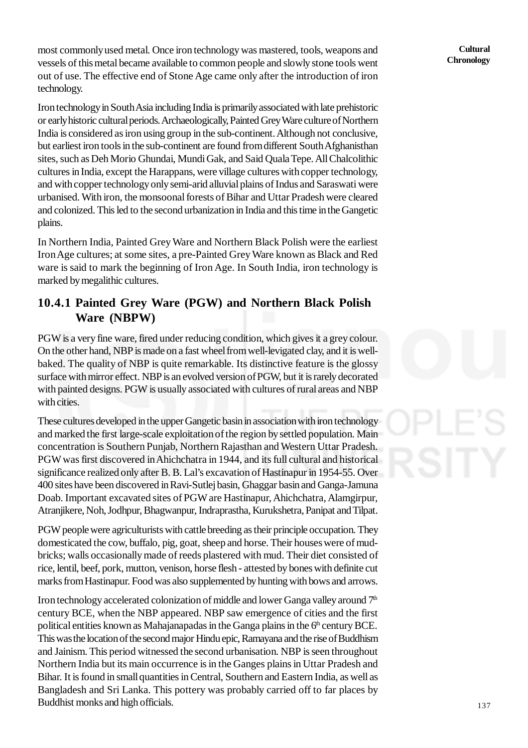most commonly used metal. Once iron technology was mastered, tools, weapons and vessels of this metal became available to common people and slowly stone tools went out of use. The effective end of Stone Age came only after the introduction of iron technology.

Iron technology in South Asia including India is primarily associated with late prehistoric or early historic cultural periods. Archaeologically, Painted Grey Ware culture of Northern India is considered as iron using group in the sub-continent. Although not conclusive, but earliest iron tools in the sub-continent are found from different South Afghanisthan sites, such as Deh Morio Ghundai, Mundi Gak, and Said Quala Tepe. All Chalcolithic cultures in India, except the Harappans, were village cultures with copper technology, and with copper technology only semi-arid alluvial plains of Indus and Saraswati were urbanised. With iron, the monsoonal forests of Bihar and Uttar Pradesh were cleared and colonized. This led to the second urbanization in India and this time in the Gangetic plains.

In Northern India, Painted Grey Ware and Northern Black Polish were the earliest Iron Age cultures; at some sites, a pre-Painted Grey Ware known as Black and Red ware is said to mark the beginning of Iron Age. In South India, iron technology is marked by megalithic cultures.

### **10.4.1 Painted Grey Ware (PGW) and Northern Black Polish Ware (NBPW)**

PGW is a very fine ware, fired under reducing condition, which gives it a grey colour. On the other hand, NBP is made on a fast wheel from well-levigated clay, and it is wellbaked. The quality of NBP is quite remarkable. Its distinctive feature is the glossy surface with mirror effect. NBP is an evolved version of PGW, but it is rarely decorated with painted designs. PGW is usually associated with cultures of rural areas and NBP with cities.

These cultures developed in the upper Gangetic basin in association with iron technology and marked the first large-scale exploitation of the region by settled population. Main concentration is Southern Punjab, Northern Rajasthan and Western Uttar Pradesh. PGW was first discovered in Ahichchatra in 1944, and its full cultural and historical significance realized only after B. B. Lal's excavation of Hastinapur in 1954-55. Over 400 sites have been discovered in Ravi-Sutlej basin, Ghaggar basin and Ganga-Jamuna Doab. Important excavated sites of PGW are Hastinapur, Ahichchatra, Alamgirpur, Atranjikere, Noh, Jodhpur, Bhagwanpur, Indraprastha, Kurukshetra, Panipat and Tilpat.

PGW people were agriculturists with cattle breeding as their principle occupation. They domesticated the cow, buffalo, pig, goat, sheep and horse. Their houses were of mudbricks; walls occasionally made of reeds plastered with mud. Their diet consisted of rice, lentil, beef, pork, mutton, venison, horse flesh - attested by bones with definite cut marks from Hastinapur. Food was also supplemented by hunting with bows and arrows.

Iron technology accelerated colonization of middle and lower Ganga valley around  $7<sup>th</sup>$ century BCE, when the NBP appeared. NBP saw emergence of cities and the first political entities known as Mahajanapadas in the Ganga plains in the  $6<sup>th</sup>$  century BCE. This was the location of the second major Hindu epic, Ramayana and the rise of Buddhism and Jainism. This period witnessed the second urbanisation. NBP is seen throughout Northern India but its main occurrence is in the Ganges plains in Uttar Pradesh and Bihar. It is found in small quantities in Central, Southern and Eastern India, as well as Bangladesh and Sri Lanka. This pottery was probably carried off to far places by Buddhist monks and high officials.

**Cultural Chronology**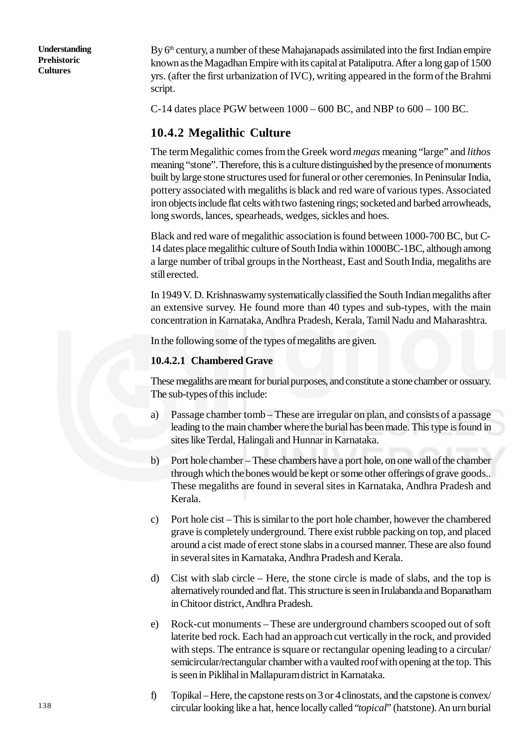By 6<sup>th</sup> century, a number of these Mahajanapads assimilated into the first Indian empire known as the Magadhan Empire with its capital at Pataliputra. After a long gap of 1500 yrs. (after the first urbanization of IVC), writing appeared in the form of the Brahmi script.

C-14 dates place PGW between 1000 – 600 BC, and NBP to 600 – 100 BC.

#### **10.4.2 Megalithic Culture**

The term Megalithic comes from the Greek word *megas* meaning "large" and *lithos* meaning "stone". Therefore, this is a culture distinguished by the presence of monuments built by large stone structures used for funeral or other ceremonies. In Peninsular India, pottery associated with megaliths is black and red ware of various types. Associated iron objects include flat celts with two fastening rings; socketed and barbed arrowheads, long swords, lances, spearheads, wedges, sickles and hoes.

Black and red ware of megalithic association is found between 1000-700 BC, but C**-**14 dates place megalithic culture of South India within 1000BC-1BC, although among a large number of tribal groups in the Northeast, East and South India, megaliths are still erected.

In 1949 V. D. Krishnaswamy systematically classified the South Indian megaliths after an extensive survey. He found more than 40 types and sub-types, with the main concentration in Karnataka, Andhra Pradesh, Kerala, Tamil Nadu and Maharashtra.

In the following some of the types of megaliths are given.

#### **10.4.2.1 Chambered Grave**

These megaliths are meant for burial purposes, and constitute a stone chamber or ossuary. The sub-types of this include:

- a) Passage chamber tomb These are irregular on plan, and consists of a passage leading to the main chamber where the burial has been made. This type is found in sites like Terdal, Halingali and Hunnar in Karnataka.
- b) Port hole chamber These chambers have a port hole, on one wall of the chamber through which the bones would be kept or some other offerings of grave goods.. These megaliths are found in several sites in Karnataka, Andhra Pradesh and Kerala.
- c) Port hole cist This is similar to the port hole chamber, however the chambered grave is completely underground. There exist rubble packing on top, and placed around a cist made of erect stone slabs in a coursed manner. These are also found in several sites in Karnataka, Andhra Pradesh and Kerala.
- d) Cist with slab circle Here, the stone circle is made of slabs, and the top is alternatively rounded and flat. This structure is seen in Irulabanda and Bopanatham in Chitoor district, Andhra Pradesh.
- e) Rock-cut monuments These are underground chambers scooped out of soft laterite bed rock. Each had an approach cut vertically in the rock, and provided with steps. The entrance is square or rectangular opening leading to a circular/ semicircular/rectangular chamber with a vaulted roof with opening at the top. This is seen in Piklihal in Mallapuram district in Karnataka.
- f) Topikal Here, the capstone rests on 3 or 4 clinostats, and the capstone is convex/ circular looking like a hat, hence locally called "*topical*" (hatstone). An urn burial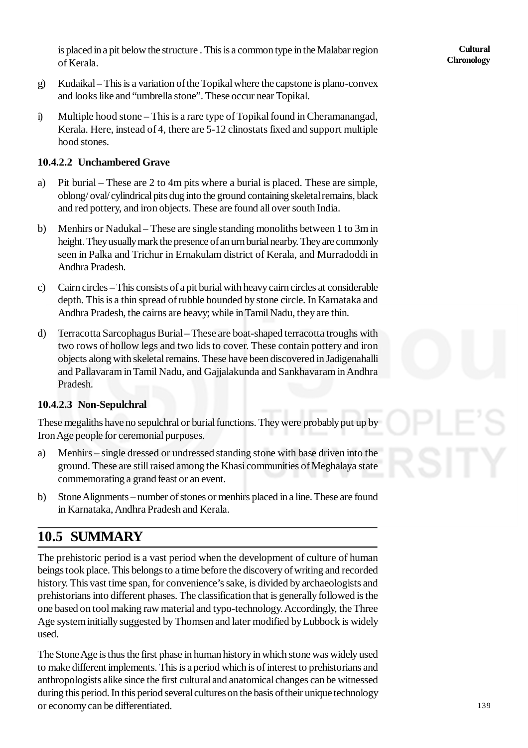is placed in a pit below the structure . This is a common type in the Malabar region of Kerala.

- g) Kudaikal This is a variation of the Topikal where the capstone is plano-convex and looks like and "umbrella stone". These occur near Topikal.
- i) Multiple hood stone This is a rare type of Topikal found in Cheramanangad, Kerala. Here, instead of 4, there are 5-12 clinostats fixed and support multiple hood stones.

#### **10.4.2.2 Unchambered Grave**

- a) Pit burial These are 2 to 4m pits where a burial is placed. These are simple, oblong/ oval/ cylindrical pits dug into the ground containing skeletal remains, black and red pottery, and iron objects. These are found all over south India.
- b) Menhirs or Nadukal These are single standing monoliths between 1 to 3m in height. They usually mark the presence of an urn burial nearby. They are commonly seen in Palka and Trichur in Ernakulam district of Kerala, and Murradoddi in Andhra Pradesh.
- c) Cairn circles This consists of a pit burial with heavy cairn circles at considerable depth. This is a thin spread of rubble bounded by stone circle. In Karnataka and Andhra Pradesh, the cairns are heavy; while in Tamil Nadu, they are thin.
- d) Terracotta Sarcophagus Burial These are boat-shaped terracotta troughs with two rows of hollow legs and two lids to cover. These contain pottery and iron objects along with skeletal remains. These have been discovered in Jadigenahalli and Pallavaram in Tamil Nadu, and Gajjalakunda and Sankhavaram in Andhra Pradesh.

#### **10.4.2.3 Non-Sepulchral**

These megaliths have no sepulchral or burial functions. They were probably put up by Iron Age people for ceremonial purposes.

- a) Menhirs single dressed or undressed standing stone with base driven into the ground. These are still raised among the Khasi communities of Meghalaya state commemorating a grand feast or an event.
- b) Stone Alignments number of stones or menhirs placed in a line. These are found in Karnataka, Andhra Pradesh and Kerala.

# **10.5 SUMMARY**

The prehistoric period is a vast period when the development of culture of human beings took place. This belongs to a time before the discovery of writing and recorded history. This vast time span, for convenience's sake, is divided by archaeologists and prehistorians into different phases. The classification that is generally followed is the one based on tool making raw material and typo-technology. Accordingly, the Three Age system initially suggested by Thomsen and later modified by Lubbock is widely used.

The Stone Age is thus the first phase in human history in which stone was widely used to make different implements. This is a period which is of interest to prehistorians and anthropologists alike since the first cultural and anatomical changes can be witnessed during this period. In this period several cultures on the basis of their unique technology or economy can be differentiated.

139